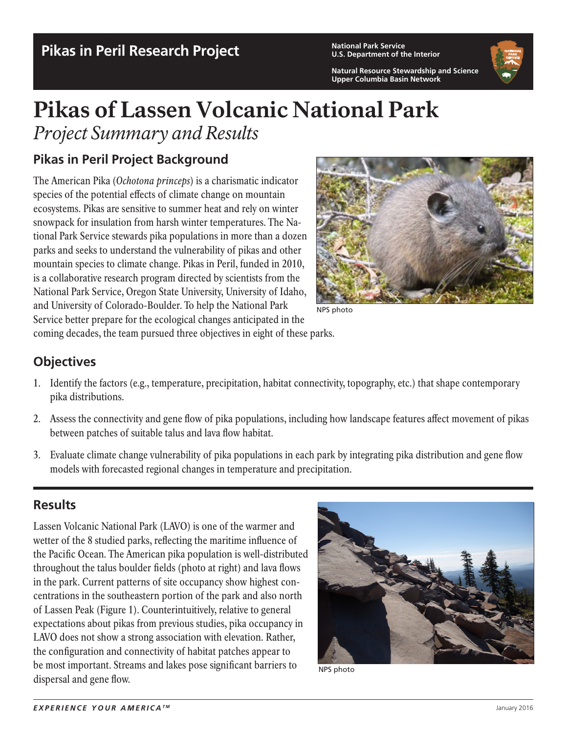## **Pikas in Peril Research Project National Park Service Pikas 1976 National Park Service**

**U.S. Department of the Interior**

**Natural Resource Stewardship and Science Upper Columbia Basin Network**



# Pikas of Lassen Volcanic National Park *Project Summary and Results*

### **Pikas in Peril Project Background**

The American Pika (*Ochotona princeps*) is a charismatic indicator species of the potential effects of climate change on mountain ecosystems. Pikas are sensitive to summer heat and rely on winter snowpack for insulation from harsh winter temperatures. The National Park Service stewards pika populations in more than a dozen parks and seeks to understand the vulnerability of pikas and other mountain species to climate change. Pikas in Peril, funded in 2010, is a collaborative research program directed by scientists from the National Park Service, Oregon State University, University of Idaho, and University of Colorado-Boulder. To help the National Park Service better prepare for the ecological changes anticipated in the



NPS photo

coming decades, the team pursued three objectives in eight of these parks.

#### **Objectives**

- 1. Identify the factors (e.g., temperature, precipitation, habitat connectivity, topography, etc.) that shape contemporary pika distributions.
- 2. Assess the connectivity and gene flow of pika populations, including how landscape features affect movement of pikas between patches of suitable talus and lava flow habitat.
- 3. Evaluate climate change vulnerability of pika populations in each park by integrating pika distribution and gene flow models with forecasted regional changes in temperature and precipitation.

#### **Results**

Lassen Volcanic National Park (LAVO) is one of the warmer and wetter of the 8 studied parks, reflecting the maritime influence of the Pacific Ocean. The American pika population is well-distributed throughout the talus boulder fields (photo at right) and lava flows in the park. Current patterns of site occupancy show highest concentrations in the southeastern portion of the park and also north of Lassen Peak (Figure 1). Counterintuitively, relative to general expectations about pikas from previous studies, pika occupancy in LAVO does not show a strong association with elevation. Rather, the configuration and connectivity of habitat patches appear to be most important. Streams and lakes pose significant barriers to dispersal and gene flow.



NPS photo